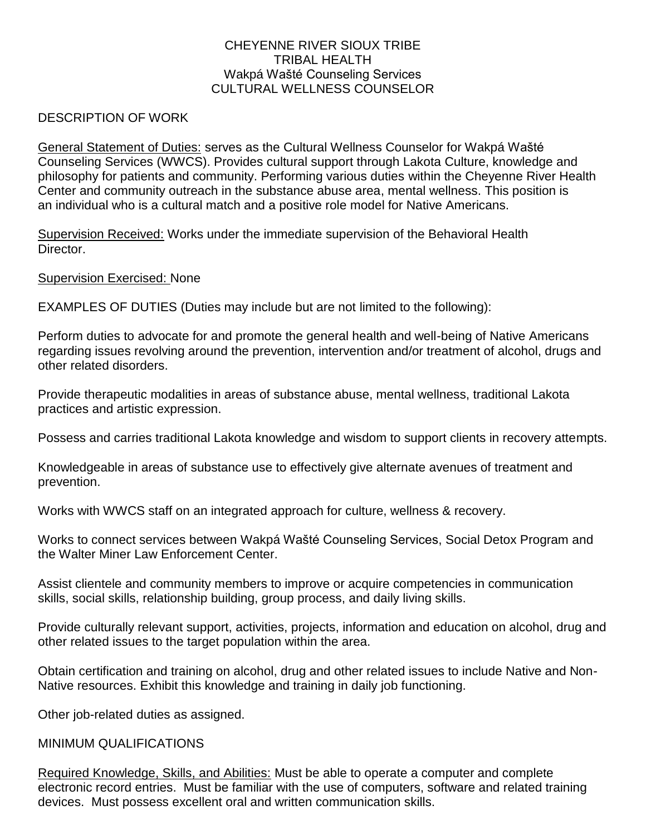## CHEYENNE RIVER SIOUX TRIBE TRIBAL HEALTH Wakpá Wašté Counseling Services CULTURAL WELLNESS COUNSELOR

## DESCRIPTION OF WORK

General Statement of Duties: serves as the Cultural Wellness Counselor for Wakpá Wašté Counseling Services (WWCS). Provides cultural support through Lakota Culture, knowledge and philosophy for patients and community. Performing various duties within the Cheyenne River Health Center and community outreach in the substance abuse area, mental wellness. This position is an individual who is a cultural match and a positive role model for Native Americans.

Supervision Received: Works under the immediate supervision of the Behavioral Health **Director** 

Supervision Exercised: None

EXAMPLES OF DUTIES (Duties may include but are not limited to the following):

Perform duties to advocate for and promote the general health and well-being of Native Americans regarding issues revolving around the prevention, intervention and/or treatment of alcohol, drugs and other related disorders.

Provide therapeutic modalities in areas of substance abuse, mental wellness, traditional Lakota practices and artistic expression.

Possess and carries traditional Lakota knowledge and wisdom to support clients in recovery attempts.

Knowledgeable in areas of substance use to effectively give alternate avenues of treatment and prevention.

Works with WWCS staff on an integrated approach for culture, wellness & recovery.

Works to connect services between Wakpá Wašté Counseling Services, Social Detox Program and the Walter Miner Law Enforcement Center.

Assist clientele and community members to improve or acquire competencies in communication skills, social skills, relationship building, group process, and daily living skills.

Provide culturally relevant support, activities, projects, information and education on alcohol, drug and other related issues to the target population within the area.

Obtain certification and training on alcohol, drug and other related issues to include Native and Non-Native resources. Exhibit this knowledge and training in daily job functioning.

Other job-related duties as assigned.

## MINIMUM QUALIFICATIONS

Required Knowledge, Skills, and Abilities: Must be able to operate a computer and complete electronic record entries. Must be familiar with the use of computers, software and related training devices. Must possess excellent oral and written communication skills.